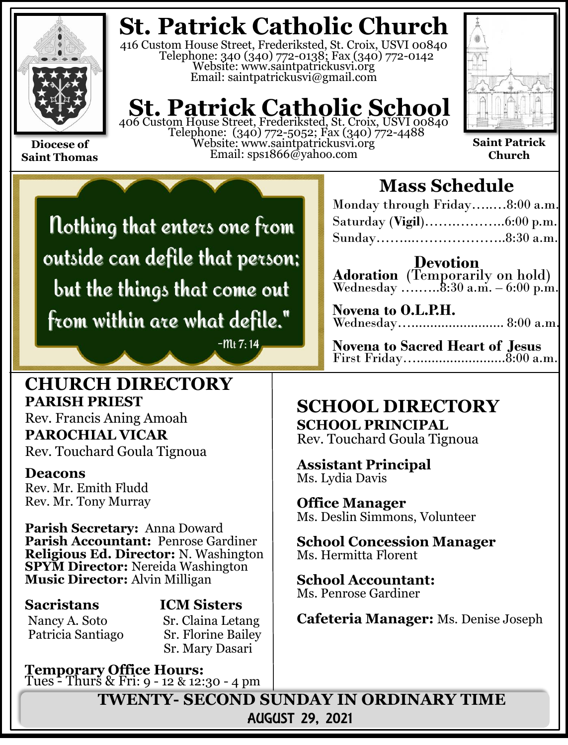

**Saint Thomas**

**St. Patrick Catholic Church**

416 Custom House Street, Frederiksted, St. Croix, USVI 00840 Telephone: 340 (340) 772-0138; Fax (340) 772-0142 Website: www.saintpatrickusvi.org Email: saintpatrickusvi@gmail.com

# **St. Patrick Catholic School**

406 Custom House Street, Frederiksted, St. Croix, USVI 00840 Telephone: (340) 772-5052; Fax (340) 772-4488 Website: www.saintpatrickusvi.org Email: sps1866@yahoo.com



**Saint Patrick Church**

Nothing that enters one from outside can defile that person; but the things that come out from within are what defile."

 $-Mt$  7:14

### **CHURCH DIRECTORY PARISH PRIEST**

Rev. Francis Aning Amoah **PAROCHIAL VICAR** Rev. Touchard Goula Tignoua

### **Deacons**

Rev. Mr. Emith Fludd Rev. Mr. Tony Murray

**Parish Secretary:** Anna Doward **Parish Accountant:** Penrose Gardiner **Religious Ed. Director:** N. Washington **SPYM Director:** Nereida Washington **Music Director:** Alvin Milligan

**Sacristans ICM Sisters** Nancy A. Soto Sr. Claina Letang

Patricia Santiago Sr. Florine Bailey Sr. Mary Dasari

**Temporary Office Hours:**  Tues - Thurs & Fri: 9 - 12 & 12:30 - 4 pm

# **Mass Schedule**

| Monday through Friday8:00 a.m. |  |
|--------------------------------|--|
|                                |  |
|                                |  |

**Devotion Adoration** (Temporarily on hold) Wednesday .......... $8:30$  a.m.  $-6:00$  p.m.

**Novena to O.L.P.H.** Wednesday…......................... 8:00 a.m.

**Novena to Sacred Heart of Jesus** First Friday…........................8:00 a.m.

## **SCHOOL DIRECTORY SCHOOL PRINCIPAL**

Rev. Touchard Goula Tignoua

**Assistant Principal** Ms. Lydia Davis

**Office Manager** Ms. Deslin Simmons, Volunteer

**School Concession Manager** Ms. Hermitta Florent

**School Accountant:**  Ms. Penrose Gardiner

**Cafeteria Manager:** Ms. Denise Joseph

**TWENTY- SECOND SUNDAY IN ORDINARY TIME** AUGUST 29, 2021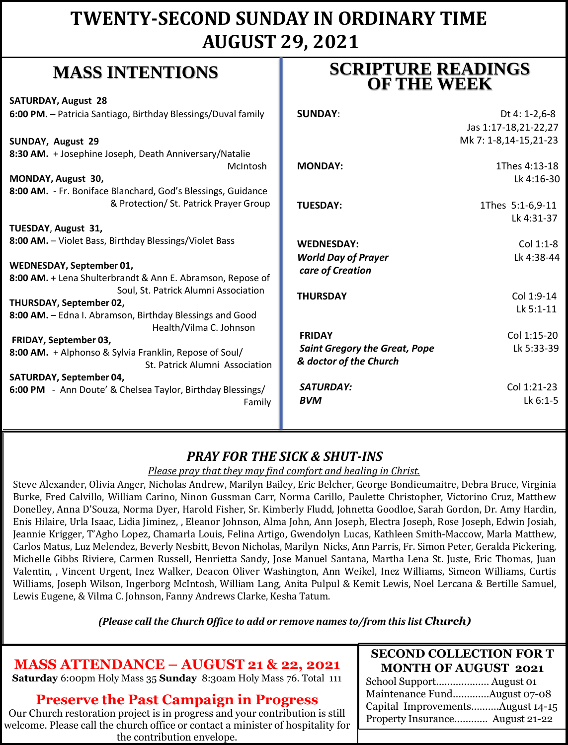# **TWENTY-SECOND SUNDAY IN ORDINARY TIME AUGUST 29, 2021**

# **MASS INTENTIONS**

| whapp have been to the                                                                             | <b>OF THE WEEK</b>                   |                       |
|----------------------------------------------------------------------------------------------------|--------------------------------------|-----------------------|
| <b>SATURDAY, August 28</b>                                                                         |                                      |                       |
| 6:00 PM. - Patricia Santiago, Birthday Blessings/Duval family                                      | <b>SUNDAY:</b>                       | Dt 4: 1-2,6-8         |
|                                                                                                    |                                      | Jas 1:17-18,21-22,27  |
| <b>SUNDAY, August 29</b>                                                                           |                                      | Mk 7: 1-8,14-15,21-23 |
| 8:30 AM. + Josephine Joseph, Death Anniversary/Natalie                                             |                                      |                       |
| McIntosh                                                                                           | <b>MONDAY:</b>                       | 1Thes 4:13-18         |
| MONDAY, August 30,                                                                                 |                                      | Lk 4:16-30            |
| 8:00 AM. - Fr. Boniface Blanchard, God's Blessings, Guidance                                       |                                      |                       |
| & Protection/ St. Patrick Prayer Group                                                             | <b>TUESDAY:</b>                      | 1Thes 5:1-6,9-11      |
|                                                                                                    |                                      | Lk 4:31-37            |
| TUESDAY, August 31,                                                                                |                                      |                       |
| 8:00 AM. - Violet Bass, Birthday Blessings/Violet Bass                                             | <b>WEDNESDAY:</b>                    | Col 1:1-8             |
|                                                                                                    | <b>World Day of Prayer</b>           | Lk 4:38-44            |
| WEDNESDAY, September 01,                                                                           | care of Creation                     |                       |
| 8:00 AM. + Lena Shulterbrandt & Ann E. Abramson, Repose of<br>Soul, St. Patrick Alumni Association |                                      |                       |
| THURSDAY, September 02,                                                                            | <b>THURSDAY</b>                      | Col 1:9-14            |
| 8:00 AM. - Edna I. Abramson, Birthday Blessings and Good                                           |                                      | Lk 5:1-11             |
| Health/Vilma C. Johnson                                                                            |                                      |                       |
| FRIDAY, September 03,                                                                              | <b>FRIDAY</b>                        | Col 1:15-20           |
| 8:00 AM. + Alphonso & Sylvia Franklin, Repose of Soul/                                             | <b>Saint Gregory the Great, Pope</b> | Lk 5:33-39            |
| St. Patrick Alumni Association                                                                     | & doctor of the Church               |                       |
| SATURDAY, September 04,                                                                            |                                      |                       |
| 6:00 PM - Ann Doute' & Chelsea Taylor, Birthday Blessings/                                         | SATURDAY:                            | Col 1:21-23           |
| Family                                                                                             | <b>BVM</b>                           | Lk 6:1-5              |
|                                                                                                    |                                      |                       |

## *PRAY FOR THE SICK & SHUT-INS*

#### *Please pray that they may find comfort and healing in Christ.*

Steve Alexander, Olivia Anger, Nicholas Andrew, Marilyn Bailey, Eric Belcher, George Bondieumaitre, Debra Bruce, Virginia Burke, Fred Calvillo, William Carino, Ninon Gussman Carr, Norma Carillo, Paulette Christopher, Victorino Cruz, Matthew Donelley, Anna D'Souza, Norma Dyer, Harold Fisher, Sr. Kimberly Fludd, Johnetta Goodloe, Sarah Gordon, Dr. Amy Hardin, Enis Hilaire, Urla Isaac, Lidia Jiminez, , Eleanor Johnson, Alma John, Ann Joseph, Electra Joseph, Rose Joseph, Edwin Josiah, Jeannie Krigger, T'Agho Lopez, Chamarla Louis, Felina Artigo, Gwendolyn Lucas, Kathleen Smith-Maccow, Marla Matthew, Carlos Matus, Luz Melendez, Beverly Nesbitt, Bevon Nicholas, Marilyn Nicks, Ann Parris, Fr. Simon Peter, Geralda Pickering, Michelle Gibbs Riviere, Carmen Russell, Henrietta Sandy, Jose Manuel Santana, Martha Lena St. Juste, Eric Thomas, Juan Valentin, , Vincent Urgent, Inez Walker, Deacon Oliver Washington, Ann Weikel, Inez Williams, Simeon Williams, Curtis Williams, Joseph Wilson, Ingerborg McIntosh, William Lang, Anita Pulpul & Kemit Lewis, Noel Lercana & Bertille Samuel, Lewis Eugene, & Vilma C. Johnson, Fanny Andrews Clarke, Kesha Tatum.

*(Please call the Church Office to add or remove names to/from this list Church)*

### **MASS ATTENDANCE – AUGUST 21 & 22, 2021**

**Saturday** 6:00pm Holy Mass 35 **Sunday** 8:30am Holy Mass 76. Total 111

### **Preserve the Past Campaign in Progress**

Our Church restoration project is in progress and your contribution is still welcome. Please call the church office or contact a minister of hospitality for the contribution envelope.

#### **SECOND COLLECTION FOR T MONTH OF AUGUST 2021**

**SCRIPTURE READINGS** 

School Support……….……… August 01 Maintenance Fund….………August 07-08 Capital Improvements……….August 14-15 Property Insurance………… August 21-22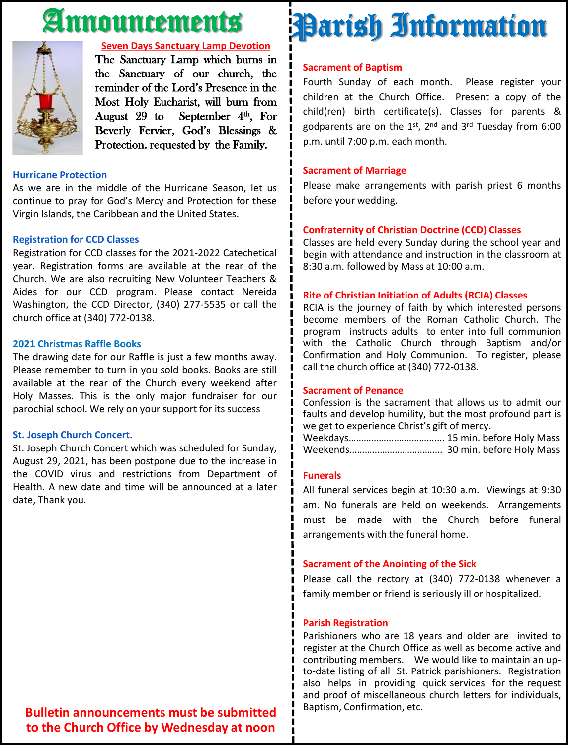# Announcements



#### **Seven Days Sanctuary Lamp Devotion**

The Sanctuary Lamp which burns in the Sanctuary of our church, the reminder of the Lord's Presence in the Most Holy Eucharist, will burn from August 29 to September  $4<sup>th</sup>$ , For Beverly Fervier, God's Blessings & Protection. requested by the Family.

#### **Hurricane Protection**

As we are in the middle of the Hurricane Season, let us continue to pray for God's Mercy and Protection for these Virgin Islands, the Caribbean and the United States.

#### **Registration for CCD Classes**

Registration for CCD classes for the 2021-2022 Catechetical year. Registration forms are available at the rear of the Church. We are also recruiting New Volunteer Teachers & Aides for our CCD program. Please contact Nereida Washington, the CCD Director, (340) 277-5535 or call the church office at (340) 772-0138.

#### **2021 Christmas Raffle Books**

The drawing date for our Raffle is just a few months away. Please remember to turn in you sold books. Books are still available at the rear of the Church every weekend after Holy Masses. This is the only major fundraiser for our parochial school. We rely on your support for its success

#### **St. Joseph Church Concert**.

St. Joseph Church Concert which was scheduled for Sunday, August 29, 2021, has been postpone due to the increase in the COVID virus and restrictions from Department of Health. A new date and time will be announced at a later date, Thank you.

# **Sacrament of Baptism** Parish Information

Fourth Sunday of each month. Please register your children at the Church Office. Present a copy of the child(ren) birth certificate(s). Classes for parents & godparents are on the 1st, 2<sup>nd</sup> and 3<sup>rd</sup> Tuesday from 6:00 p.m. until 7:00 p.m. each month.

#### **Sacrament of Marriage**

Please make arrangements with parish priest 6 months before your wedding.

#### **Confraternity of Christian Doctrine (CCD) Classes**

Classes are held every Sunday during the school year and begin with attendance and instruction in the classroom at 8:30 a.m. followed by Mass at 10:00 a.m.

#### **Rite of Christian Initiation of Adults (RCIA) Classes**

RCIA is the journey of faith by which interested persons become members of the Roman Catholic Church. The program instructs adults to enter into full communion with the Catholic Church through Baptism and/or Confirmation and Holy Communion. To register, please call the church office at (340) 772-0138.

#### **Sacrament of Penance**

Confession is the sacrament that allows us to admit our faults and develop humility, but the most profound part is we get to experience Christ's gift of mercy.

Weekdays……………….…………….... 15 min. before Holy Mass Weekends………………………………. 30 min. before Holy Mass

#### **Funerals**

All funeral services begin at 10:30 a.m. Viewings at 9:30 am. No funerals are held on weekends. Arrangements must be made with the Church before funeral arrangements with the funeral home.

#### **Sacrament of the Anointing of the Sick**

Please call the rectory at (340) 772-0138 whenever a family member or friend is seriously ill or hospitalized.

#### **Parish Registration**

Parishioners who are 18 years and older are invited to register at the Church Office as well as become active and contributing members. We would like to maintain an upto-date listing of all St. Patrick parishioners. Registration also helps in providing quick services for the request and proof of miscellaneous church letters for individuals, Baptism, Confirmation, etc.

**Bulletin announcements must be submitted to the Church Office by Wednesday at noon**